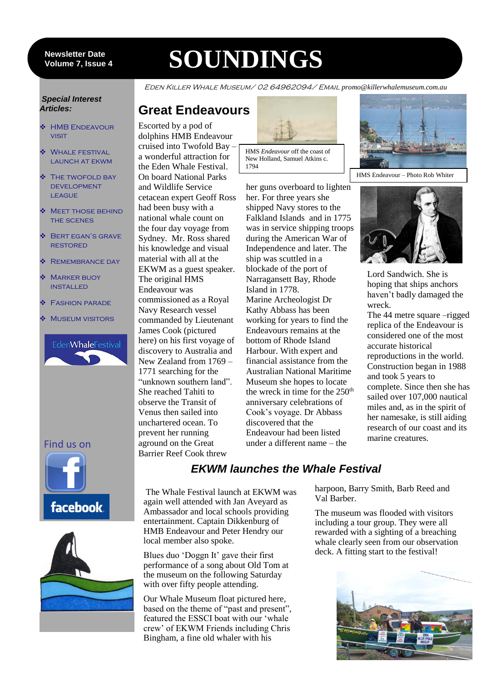#### 7 **Volume 7, Issue 4 Newsletter Date**

# **SOUNDINGS**

Eden Killer Whale Museum/ 02 64962094/ Email *promo@killerwhalemuseum.com.au*

#### *Special Interest Articles:*

- HMB Endeavour **VISIT**
- ◆ WHALE FESTIVAL LAUNCH AT EKWM
- THE TWOFOLD BAY **DEVELOPMENT LEAGUE**
- **MEET THOSE BEHIND** the scenes
- **❖ BERT EGAN'S GRAVE RESTORED**
- **❖ REMEMBRANCE DAY**
- **MARKER BUOY** installed
- **❖** FASHION PARADE
- Museum visitors



Find us on





## **Great Endeavours**

Escorted by a pod of dolphins HMB Endeavour cruised into Twofold Bay – a wonderful attraction for the Eden Whale Festival. On board National Parks and Wildlife Service cetacean expert Geoff Ross had been busy with a national whale count on the four day voyage from Sydney. Mr. Ross shared his knowledge and visual material with all at the EKWM as a guest speaker. The original HMS Endeavour was commissioned as a Royal Navy Research vessel commanded by Lieutenant James Cook (pictured here) on his first voyage of discovery to Australia and New Zealand from 1769 – 1771 searching for the "unknown southern land". She reached Tahiti to observe the Transit of Venus then sailed into unchartered ocean. To prevent her running aground on the Great Barrier Reef Cook threw



HMS *Endeavour* off the coast of New Holland, Samuel Atkins c. 1794

her guns overboard to lighten her. For three years she shipped Navy stores to the Falkland Islands and in 1775 during the American War of Independence and later. The ship was scuttled in a blockade of the port of Narragansett Bay, Rhode Island in 1778. Marine Archeologist Dr Kathy Abbass has been working for years to find the Endeavours remains at the bottom of Rhode Island Harbour. With expert and financial assistance from the Australian National Maritime Museum she hopes to locate anniversary celebrations of Cook's voyage. Dr Abbass discovered that the Endeavour had been listed under a different name – the







Lord Sandwich. She is hoping that ships anchors haven't badly damaged the wreck. The 44 metre square –rigged replica of the Endeavour is considered one of the most accurate historical reproductions in the world. Construction began in 1988 and took 5 years to complete. Since then she has sailed over 107,000 nautical miles and, as in the spirit of her namesake, is still aiding research of our coast and its marine creatures.

was in service shipping troops the wreck in time for the 250<sup>th</sup>

### *EKWM launches the Whale Festival*

The Whale Festival launch at EKWM was again well attended with Jan Aveyard as Ambassador and local schools providing entertainment. Captain Dikkenburg of HMB Endeavour and Peter Hendry our local member also spoke.

Blues duo 'Doggn It' gave their first performance of a song about Old Tom at the museum on the following Saturday with over fifty people attending.

Our Whale Museum float pictured here, based on the theme of "past and present", featured the ESSCI boat with our 'whale crew' of EKWM Friends including Chris Bingham, a fine old whaler with his

harpoon, Barry Smith, Barb Reed and Val Barber.

The museum was flooded with visitors including a tour group. They were all rewarded with a sighting of a breaching whale clearly seen from our observation deck. A fitting start to the festival!

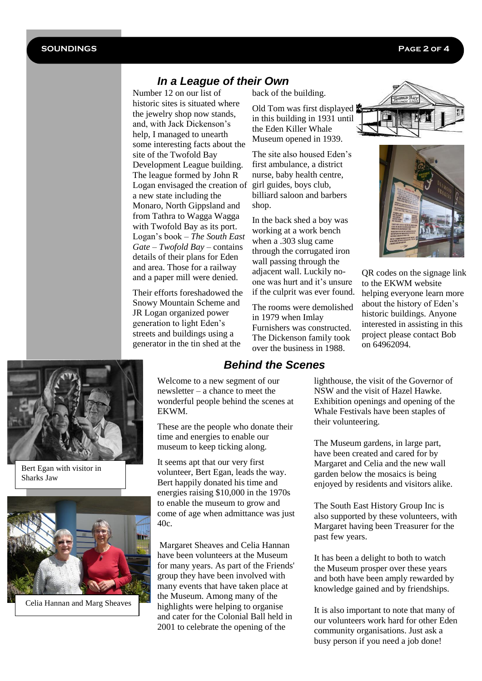#### *In a League of their Own*

Number 12 on our list of historic sites is situated where the jewelry shop now stands, and, with Jack Dickenson's help, I managed to unearth some interesting facts about the site of the Twofold Bay Development League building. The league formed by John R Logan envisaged the creation of girl guides, boys club, a new state including the Monaro, North Gippsland and from Tathra to Wagga Wagga with Twofold Bay as its port. Logan's book – *The South East Gate – Twofold Bay –* contains details of their plans for Eden and area. Those for a railway and a paper mill were denied.

Their efforts foreshadowed the Snowy Mountain Scheme and JR Logan organized power generation to light Eden's streets and buildings using a generator in the tin shed at the

back of the building.

Old Tom was first displayed in this building in 1931 until the Eden Killer Whale Museum opened in 1939.

The site also housed Eden's first ambulance, a district nurse, baby health centre, billiard saloon and barbers shop.

In the back shed a boy was working at a work bench when a .303 slug came through the corrugated iron wall passing through the adjacent wall. Luckily noone was hurt and it's unsure if the culprit was ever found.

The rooms were demolished in 1979 when Imlay Furnishers was constructed. The Dickenson family took over the business in 1988.





QR codes on the signage link to the EKWM website helping everyone learn more about the history of Eden's historic buildings. Anyone interested in assisting in this project please contact Bob on 64962094.



Bert Egan with visitor in Sharks Jaw



Celia Hannan and Marg Sheaves

#### *Behind the Scenes*

Welcome to a new segment of our newsletter – a chance to meet the wonderful people behind the scenes at EKWM.

These are the people who donate their time and energies to enable our museum to keep ticking along.

It seems apt that our very first volunteer, Bert Egan, leads the way. Bert happily donated his time and energies raising \$10,000 in the 1970s to enable the museum to grow and come of age when admittance was just 40c.

Margaret Sheaves and Celia Hannan have been volunteers at the Museum for many years. As part of the Friends' group they have been involved with many events that have taken place at the Museum. Among many of the highlights were helping to organise and cater for the Colonial Ball held in 2001 to celebrate the opening of the

lighthouse, the visit of the Governor of NSW and the visit of Hazel Hawke. Exhibition openings and opening of the Whale Festivals have been staples of their volunteering.

The Museum gardens, in large part, have been created and cared for by Margaret and Celia and the new wall garden below the mosaics is being enjoyed by residents and visitors alike.

The South East History Group Inc is also supported by these volunteers, with Margaret having been Treasurer for the past few years.

It has been a delight to both to watch the Museum prosper over these years and both have been amply rewarded by knowledge gained and by friendships.

It is also important to note that many of our volunteers work hard for other Eden community organisations. Just ask a busy person if you need a job done!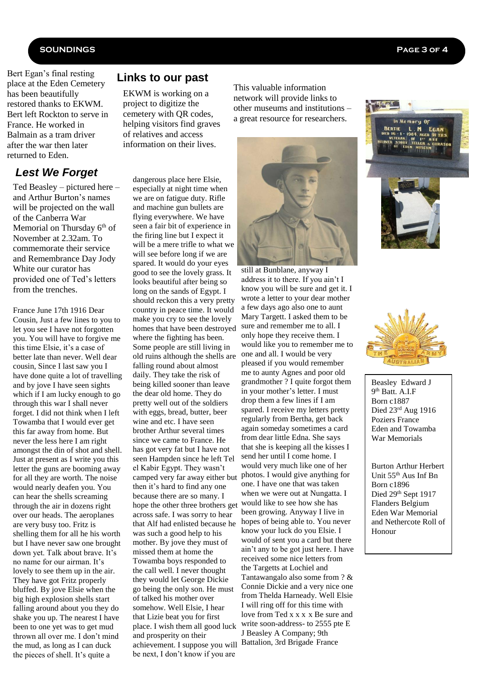#### **SOUNDINGS Page 3 of 4**

Bert Egan's final resting place at the Eden Cemetery has been beautifully restored thanks to EKWM. Bert left Rockton to serve in France. He worked in Balmain as a tram driver after the war then later returned to Eden.

#### *Lest We Forget*

Ted Beasley – pictured here – and Arthur Burton's names will be projected on the wall of the Canberra War Memorial on Thursday 6<sup>th</sup> of November at 2.32am. To commemorate their service and Remembrance Day Jody White our curator has provided one of Ted's letters from the trenches.

France June 17th 1916 Dear Cousin, Just a few lines to you to let you see I have not forgotten you. You will have to forgive me this time Elsie, it's a case of better late than never. Well dear cousin, Since I last saw you I have done quite a lot of travelling and by jove I have seen sights which if I am lucky enough to go through this war I shall never forget. I did not think when I left Towamba that I would ever get this far away from home. But never the less here I am right amongst the din of shot and shell. Just at present as I write you this letter the guns are booming away for all they are worth. The noise would nearly deafen you. You can hear the shells screaming through the air in dozens right over our heads. The aeroplanes are very busy too. Fritz is shelling them for all he his worth but I have never saw one brought down yet. Talk about brave. It's no name for our airman. It's lovely to see them up in the air. They have got Fritz properly bluffed. By jove Elsie when the big high explosion shells start falling around about you they do shake you up. The nearest I have been to one yet was to get mud thrown all over me. I don't mind the mud, as long as I can duck the pieces of shell. It's quite a

#### **Links to our past**

EKWM is working on a project to digitize the cemetery with QR codes, helping visitors find graves of relatives and access information on their lives.

dangerous place here Elsie, especially at night time when we are on fatigue duty. Rifle and machine gun bullets are flying everywhere. We have seen a fair bit of experience in the firing line but I expect it will be a mere trifle to what we will see before long if we are spared. It would do your eyes good to see the lovely grass. It looks beautiful after being so long on the sands of Egypt. I should reckon this a very pretty country in peace time. It would make you cry to see the lovely homes that have been destroyed where the fighting has been. Some people are still living in old ruins although the shells are falling round about almost daily. They take the risk of being killed sooner than leave the dear old home. They do pretty well out of the soldiers with eggs, bread, butter, beer wine and etc. I have seen brother Arthur several times since we came to France. He has got very fat but I have not seen Hampden since he left Tel el Kabir Egypt. They wasn't camped very far away either but then it's hard to find any one because there are so many. I hope the other three brothers get across safe. I was sorry to hear that Alf had enlisted because he was such a good help to his mother. By jove they must of missed them at home the Towamba boys responded to the call well. I never thought they would let George Dickie go being the only son. He must of talked his mother over somehow. Well Elsie, I hear that Lizie beat you for first place. I wish them all good luck and prosperity on their achievement. I suppose you will Battalion, 3rd Brigade France be next, I don't know if you are

This valuable information network will provide links to other museums and institutions – a great resource for researchers.



still at Bunblane, anyway I address it to there. If you ain't I know you will be sure and get it. I wrote a letter to your dear mother a few days ago also one to aunt Mary Targett. I asked them to be sure and remember me to all. I only hope they receive them. I would like you to remember me to one and all. I would be very pleased if you would remember me to aunty Agnes and poor old grandmother ? I quite forgot them in your mother's letter. I must drop them a few lines if I am spared. I receive my letters pretty regularly from Bertha, get back again someday sometimes a card from dear little Edna. She says that she is keeping all the kisses I send her until I come home. I would very much like one of her photos. I would give anything for one. I have one that was taken when we were out at Nungatta. I would like to see how she has been growing. Anyway I live in hopes of being able to. You never know your luck do you Elsie. I would of sent you a card but there ain't any to be got just here. I have received some nice letters from the Targetts at Lochiel and Tantawangalo also some from ? & Connie Dickie and a very nice one from Thelda Harneady. Well Elsie I will ring off for this time with love from Ted x x x x Be sure and write soon-address- to 2555 pte E J Beasley A Company; 9th







Beasley Edward J 9<sup>th</sup> Batt. A.I.F Born c1887 Died 23rd Aug 1916 Poziers France Eden and Towamba War Memorials

Burton Arthur Herbert Unit 55th Aus Inf Bn Born c1896 Died 29<sup>th</sup> Sept 1917 Flanders Belgium Eden War Memorial and Nethercote Roll of Honour